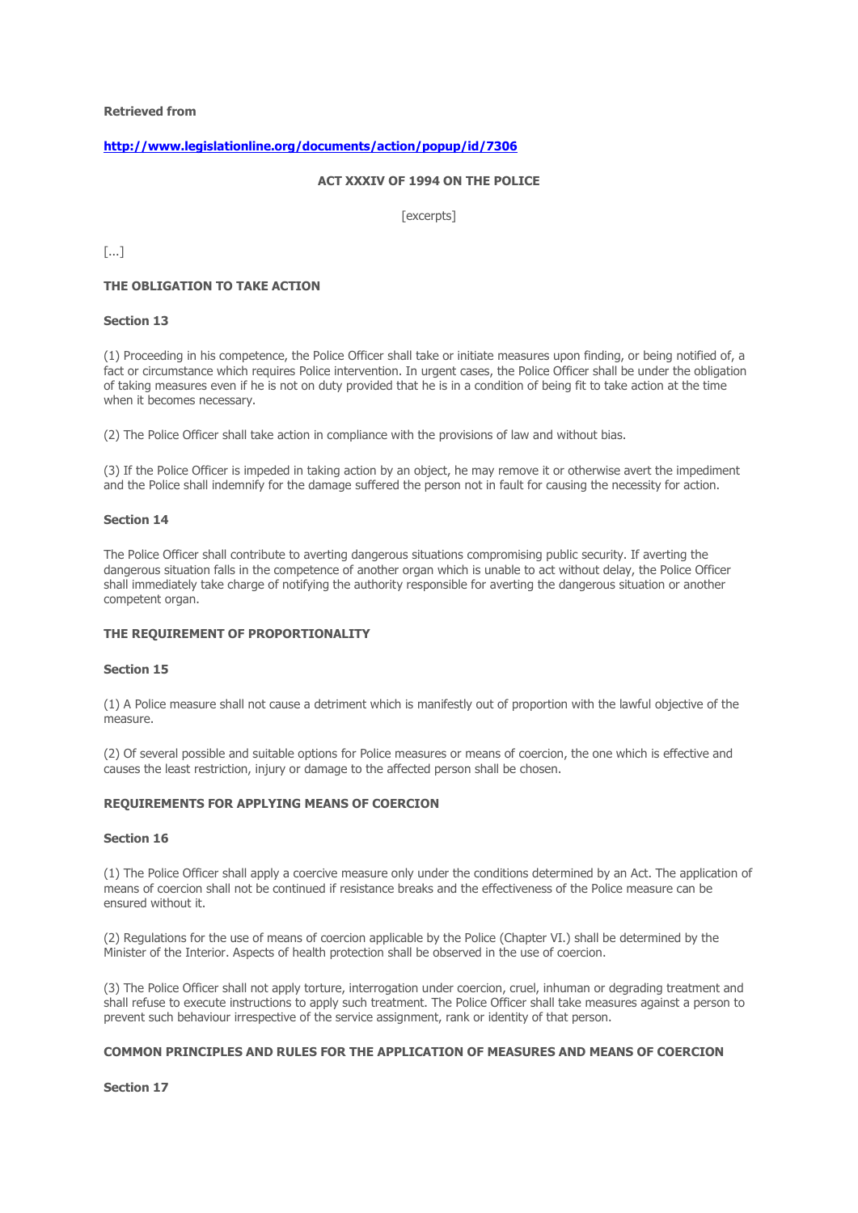# **<http://www.legislationline.org/documents/action/popup/id/7306>**

# **ACT XXXIV OF 1994 ON THE POLICE**

[excerpts]

[...]

#### **THE OBLIGATION TO TAKE ACTION**

#### **Section 13**

(1) Proceeding in his competence, the Police Officer shall take or initiate measures upon finding, or being notified of, a fact or circumstance which requires Police intervention. In urgent cases, the Police Officer shall be under the obligation of taking measures even if he is not on duty provided that he is in a condition of being fit to take action at the time when it becomes necessary.

(2) The Police Officer shall take action in compliance with the provisions of law and without bias.

(3) If the Police Officer is impeded in taking action by an object, he may remove it or otherwise avert the impediment and the Police shall indemnify for the damage suffered the person not in fault for causing the necessity for action.

#### **Section 14**

The Police Officer shall contribute to averting dangerous situations compromising public security. If averting the dangerous situation falls in the competence of another organ which is unable to act without delay, the Police Officer shall immediately take charge of notifying the authority responsible for averting the dangerous situation or another competent organ.

#### **THE REQUIREMENT OF PROPORTIONALITY**

#### **Section 15**

(1) A Police measure shall not cause a detriment which is manifestly out of proportion with the lawful objective of the measure.

(2) Of several possible and suitable options for Police measures or means of coercion, the one which is effective and causes the least restriction, injury or damage to the affected person shall be chosen.

## **REQUIREMENTS FOR APPLYING MEANS OF COERCION**

#### **Section 16**

(1) The Police Officer shall apply a coercive measure only under the conditions determined by an Act. The application of means of coercion shall not be continued if resistance breaks and the effectiveness of the Police measure can be ensured without it.

(2) Regulations for the use of means of coercion applicable by the Police (Chapter VI.) shall be determined by the Minister of the Interior. Aspects of health protection shall be observed in the use of coercion.

(3) The Police Officer shall not apply torture, interrogation under coercion, cruel, inhuman or degrading treatment and shall refuse to execute instructions to apply such treatment. The Police Officer shall take measures against a person to prevent such behaviour irrespective of the service assignment, rank or identity of that person.

## **COMMON PRINCIPLES AND RULES FOR THE APPLICATION OF MEASURES AND MEANS OF COERCION**

**Section 17**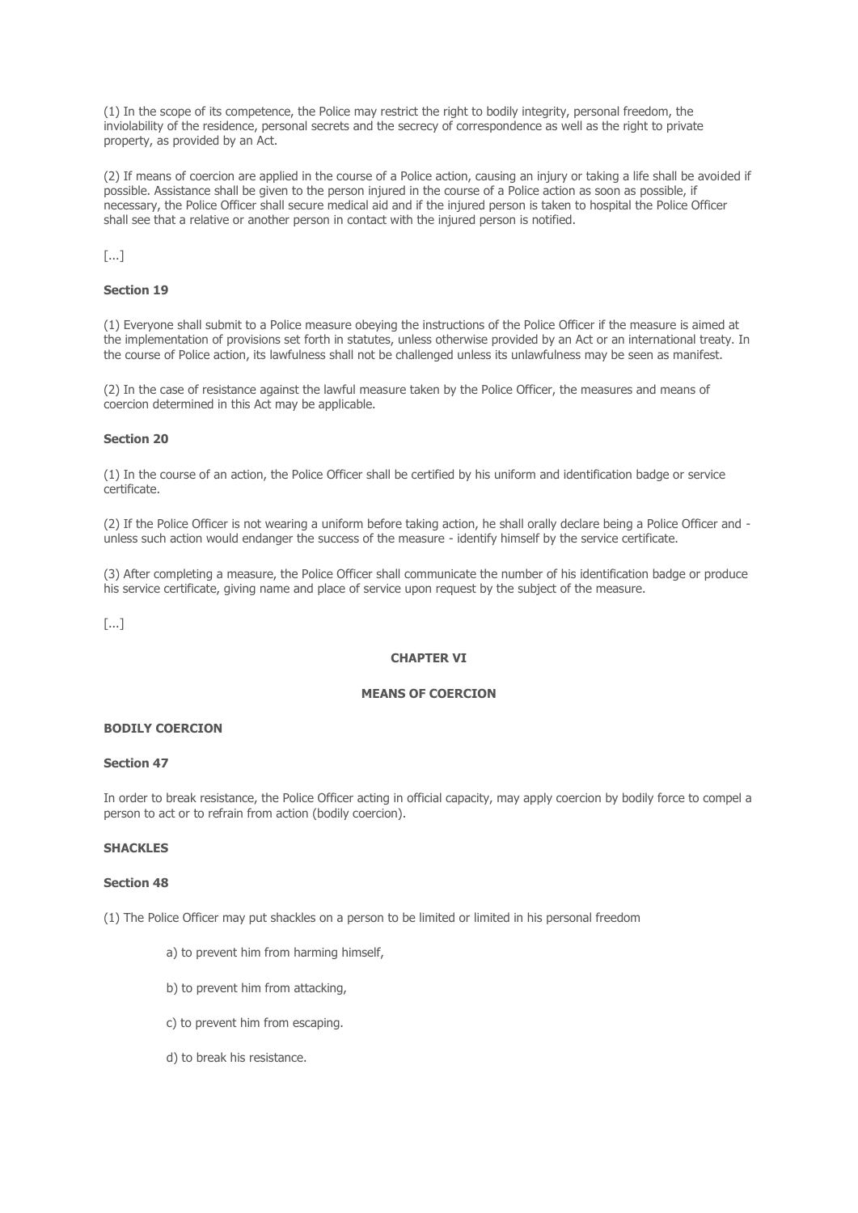(1) In the scope of its competence, the Police may restrict the right to bodily integrity, personal freedom, the inviolability of the residence, personal secrets and the secrecy of correspondence as well as the right to private property, as provided by an Act.

(2) If means of coercion are applied in the course of a Police action, causing an injury or taking a life shall be avoided if possible. Assistance shall be given to the person injured in the course of a Police action as soon as possible, if necessary, the Police Officer shall secure medical aid and if the injured person is taken to hospital the Police Officer shall see that a relative or another person in contact with the injured person is notified.

[...]

## **Section 19**

(1) Everyone shall submit to a Police measure obeying the instructions of the Police Officer if the measure is aimed at the implementation of provisions set forth in statutes, unless otherwise provided by an Act or an international treaty. In the course of Police action, its lawfulness shall not be challenged unless its unlawfulness may be seen as manifest.

(2) In the case of resistance against the lawful measure taken by the Police Officer, the measures and means of coercion determined in this Act may be applicable.

## **Section 20**

(1) In the course of an action, the Police Officer shall be certified by his uniform and identification badge or service certificate.

(2) If the Police Officer is not wearing a uniform before taking action, he shall orally declare being a Police Officer and unless such action would endanger the success of the measure - identify himself by the service certificate.

(3) After completing a measure, the Police Officer shall communicate the number of his identification badge or produce his service certificate, giving name and place of service upon request by the subject of the measure.

[...]

## **CHAPTER VI**

## **MEANS OF COERCION**

## **BODILY COERCION**

## **Section 47**

In order to break resistance, the Police Officer acting in official capacity, may apply coercion by bodily force to compel a person to act or to refrain from action (bodily coercion).

## **SHACKLES**

#### **Section 48**

(1) The Police Officer may put shackles on a person to be limited or limited in his personal freedom

- a) to prevent him from harming himself,
- b) to prevent him from attacking,
- c) to prevent him from escaping.
- d) to break his resistance.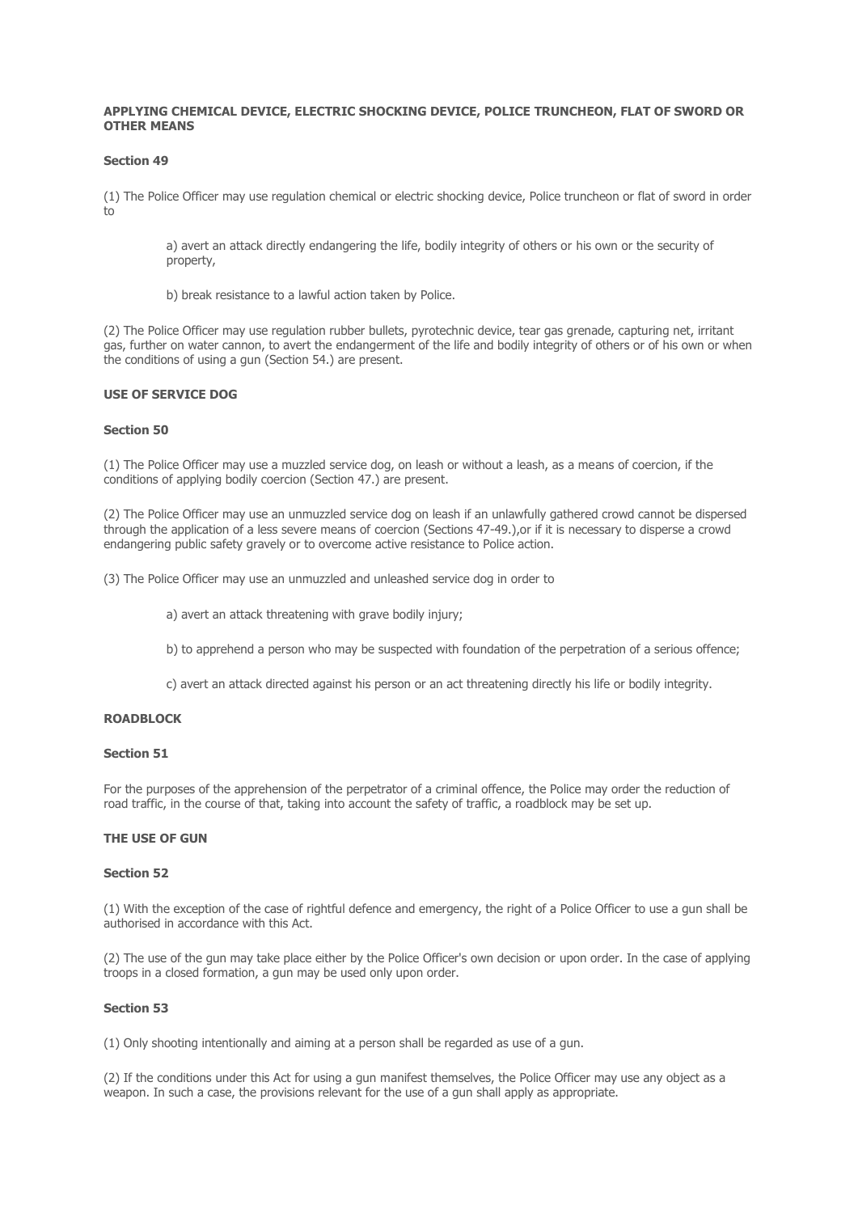## **APPLYING CHEMICAL DEVICE, ELECTRIC SHOCKING DEVICE, POLICE TRUNCHEON, FLAT OF SWORD OR OTHER MEANS**

#### **Section 49**

(1) The Police Officer may use regulation chemical or electric shocking device, Police truncheon or flat of sword in order to

a) avert an attack directly endangering the life, bodily integrity of others or his own or the security of property,

b) break resistance to a lawful action taken by Police.

(2) The Police Officer may use regulation rubber bullets, pyrotechnic device, tear gas grenade, capturing net, irritant gas, further on water cannon, to avert the endangerment of the life and bodily integrity of others or of his own or when the conditions of using a gun (Section 54.) are present.

## **USE OF SERVICE DOG**

#### **Section 50**

(1) The Police Officer may use a muzzled service dog, on leash or without a leash, as a means of coercion, if the conditions of applying bodily coercion (Section 47.) are present.

(2) The Police Officer may use an unmuzzled service dog on leash if an unlawfully gathered crowd cannot be dispersed through the application of a less severe means of coercion (Sections 47-49.),or if it is necessary to disperse a crowd endangering public safety gravely or to overcome active resistance to Police action.

(3) The Police Officer may use an unmuzzled and unleashed service dog in order to

- a) avert an attack threatening with grave bodily injury;
- b) to apprehend a person who may be suspected with foundation of the perpetration of a serious offence;
- c) avert an attack directed against his person or an act threatening directly his life or bodily integrity.

## **ROADBLOCK**

## **Section 51**

For the purposes of the apprehension of the perpetrator of a criminal offence, the Police may order the reduction of road traffic, in the course of that, taking into account the safety of traffic, a roadblock may be set up.

#### **THE USE OF GUN**

#### **Section 52**

(1) With the exception of the case of rightful defence and emergency, the right of a Police Officer to use a gun shall be authorised in accordance with this Act.

(2) The use of the gun may take place either by the Police Officer's own decision or upon order. In the case of applying troops in a closed formation, a gun may be used only upon order.

## **Section 53**

(1) Only shooting intentionally and aiming at a person shall be regarded as use of a gun.

(2) If the conditions under this Act for using a gun manifest themselves, the Police Officer may use any object as a weapon. In such a case, the provisions relevant for the use of a gun shall apply as appropriate.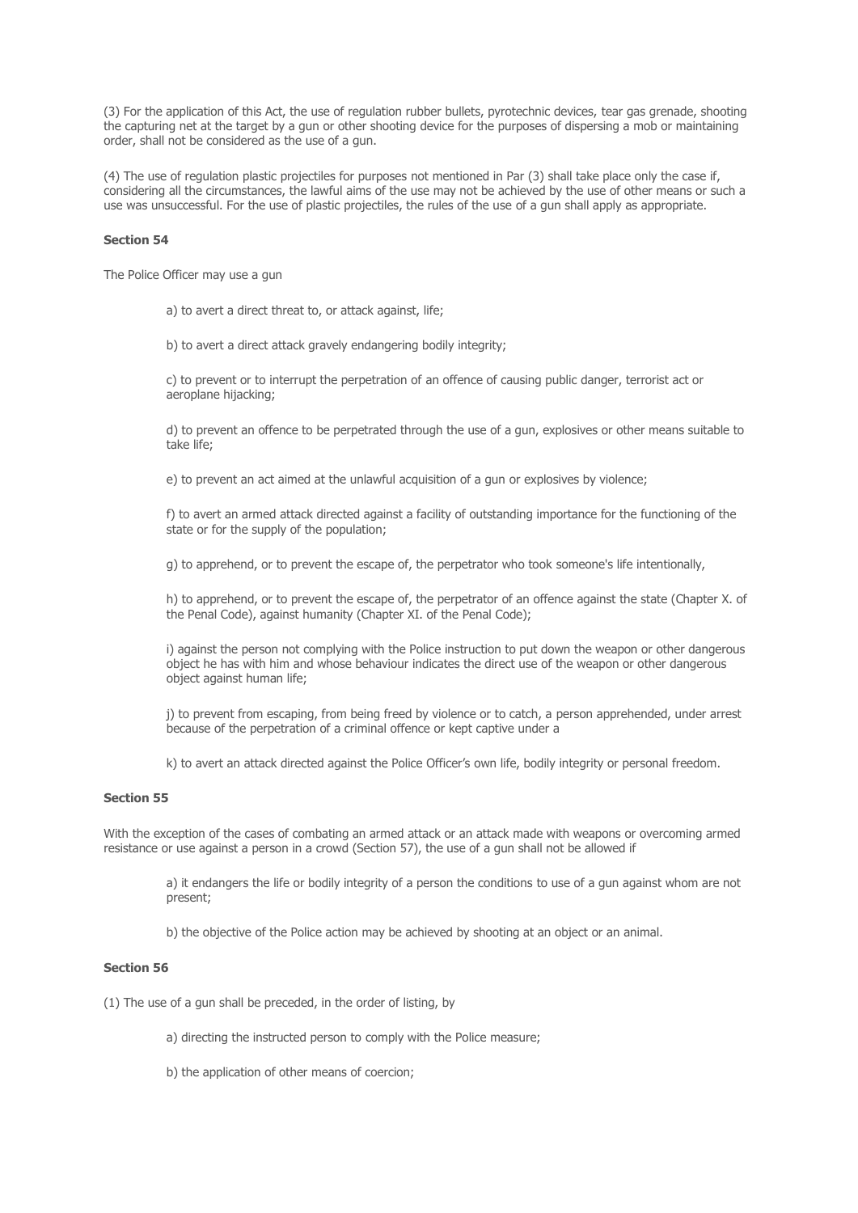(3) For the application of this Act, the use of regulation rubber bullets, pyrotechnic devices, tear gas grenade, shooting the capturing net at the target by a gun or other shooting device for the purposes of dispersing a mob or maintaining order, shall not be considered as the use of a gun.

(4) The use of regulation plastic projectiles for purposes not mentioned in Par (3) shall take place only the case if, considering all the circumstances, the lawful aims of the use may not be achieved by the use of other means or such a use was unsuccessful. For the use of plastic projectiles, the rules of the use of a gun shall apply as appropriate.

#### **Section 54**

The Police Officer may use a gun

a) to avert a direct threat to, or attack against, life;

b) to avert a direct attack gravely endangering bodily integrity;

c) to prevent or to interrupt the perpetration of an offence of causing public danger, terrorist act or aeroplane hijacking;

d) to prevent an offence to be perpetrated through the use of a gun, explosives or other means suitable to take life;

e) to prevent an act aimed at the unlawful acquisition of a gun or explosives by violence;

f) to avert an armed attack directed against a facility of outstanding importance for the functioning of the state or for the supply of the population;

g) to apprehend, or to prevent the escape of, the perpetrator who took someone's life intentionally,

h) to apprehend, or to prevent the escape of, the perpetrator of an offence against the state (Chapter X. of the Penal Code), against humanity (Chapter XI. of the Penal Code);

i) against the person not complying with the Police instruction to put down the weapon or other dangerous object he has with him and whose behaviour indicates the direct use of the weapon or other dangerous object against human life;

j) to prevent from escaping, from being freed by violence or to catch, a person apprehended, under arrest because of the perpetration of a criminal offence or kept captive under a

k) to avert an attack directed against the Police Officer's own life, bodily integrity or personal freedom.

## **Section 55**

With the exception of the cases of combating an armed attack or an attack made with weapons or overcoming armed resistance or use against a person in a crowd (Section 57), the use of a gun shall not be allowed if

a) it endangers the life or bodily integrity of a person the conditions to use of a gun against whom are not present;

b) the objective of the Police action may be achieved by shooting at an object or an animal.

## **Section 56**

(1) The use of a gun shall be preceded, in the order of listing, by

- a) directing the instructed person to comply with the Police measure;
- b) the application of other means of coercion;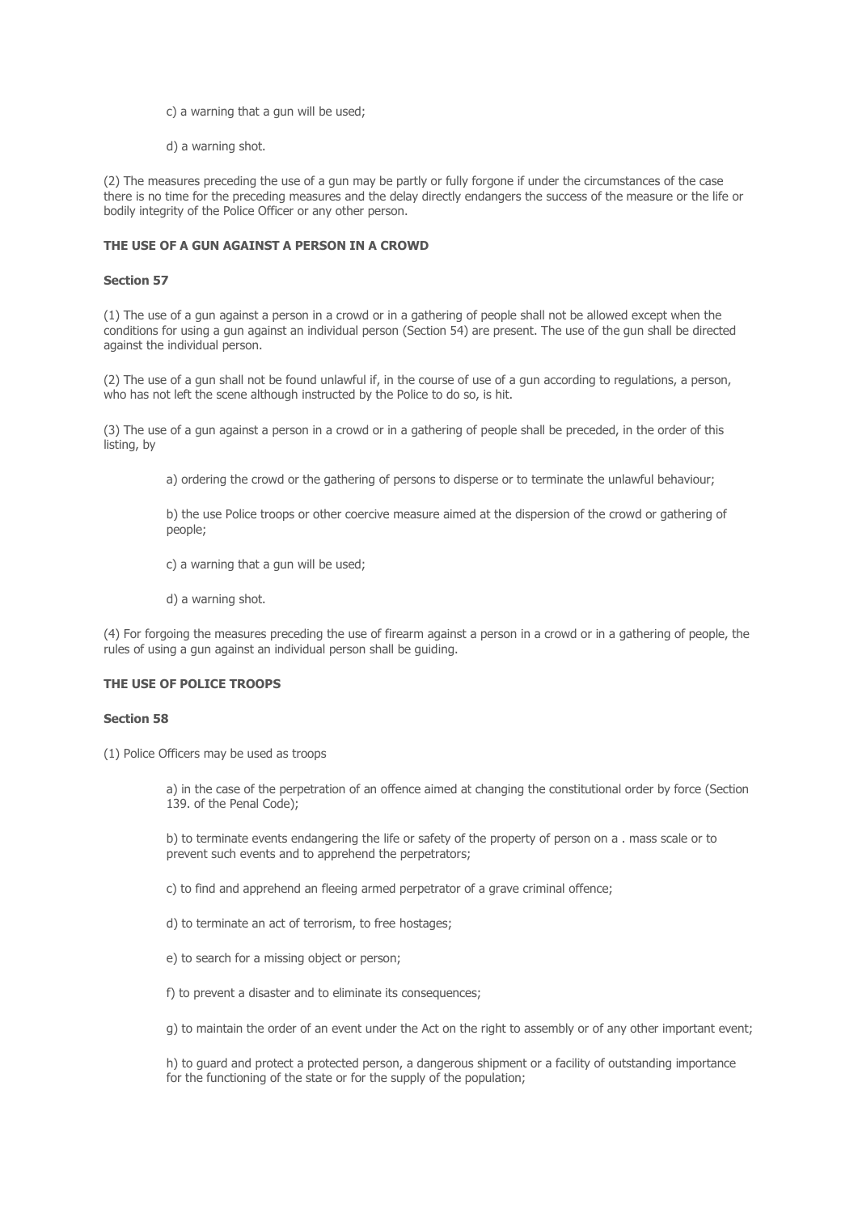- c) a warning that a gun will be used;
- d) a warning shot.

(2) The measures preceding the use of a gun may be partly or fully forgone if under the circumstances of the case there is no time for the preceding measures and the delay directly endangers the success of the measure or the life or bodily integrity of the Police Officer or any other person.

## **THE USE OF A GUN AGAINST A PERSON IN A CROWD**

#### **Section 57**

(1) The use of a gun against a person in a crowd or in a gathering of people shall not be allowed except when the conditions for using a gun against an individual person (Section 54) are present. The use of the gun shall be directed against the individual person.

(2) The use of a gun shall not be found unlawful if, in the course of use of a gun according to regulations, a person, who has not left the scene although instructed by the Police to do so, is hit.

(3) The use of a gun against a person in a crowd or in a gathering of people shall be preceded, in the order of this listing, by

a) ordering the crowd or the gathering of persons to disperse or to terminate the unlawful behaviour;

b) the use Police troops or other coercive measure aimed at the dispersion of the crowd or gathering of people;

- c) a warning that a gun will be used;
- d) a warning shot.

(4) For forgoing the measures preceding the use of firearm against a person in a crowd or in a gathering of people, the rules of using a gun against an individual person shall be guiding.

## **THE USE OF POLICE TROOPS**

#### **Section 58**

(1) Police Officers may be used as troops

a) in the case of the perpetration of an offence aimed at changing the constitutional order by force (Section 139. of the Penal Code);

b) to terminate events endangering the life or safety of the property of person on a . mass scale or to prevent such events and to apprehend the perpetrators;

- c) to find and apprehend an fleeing armed perpetrator of a grave criminal offence;
- d) to terminate an act of terrorism, to free hostages;
- e) to search for a missing object or person;
- f) to prevent a disaster and to eliminate its consequences;

g) to maintain the order of an event under the Act on the right to assembly or of any other important event;

h) to guard and protect a protected person, a dangerous shipment or a facility of outstanding importance for the functioning of the state or for the supply of the population;